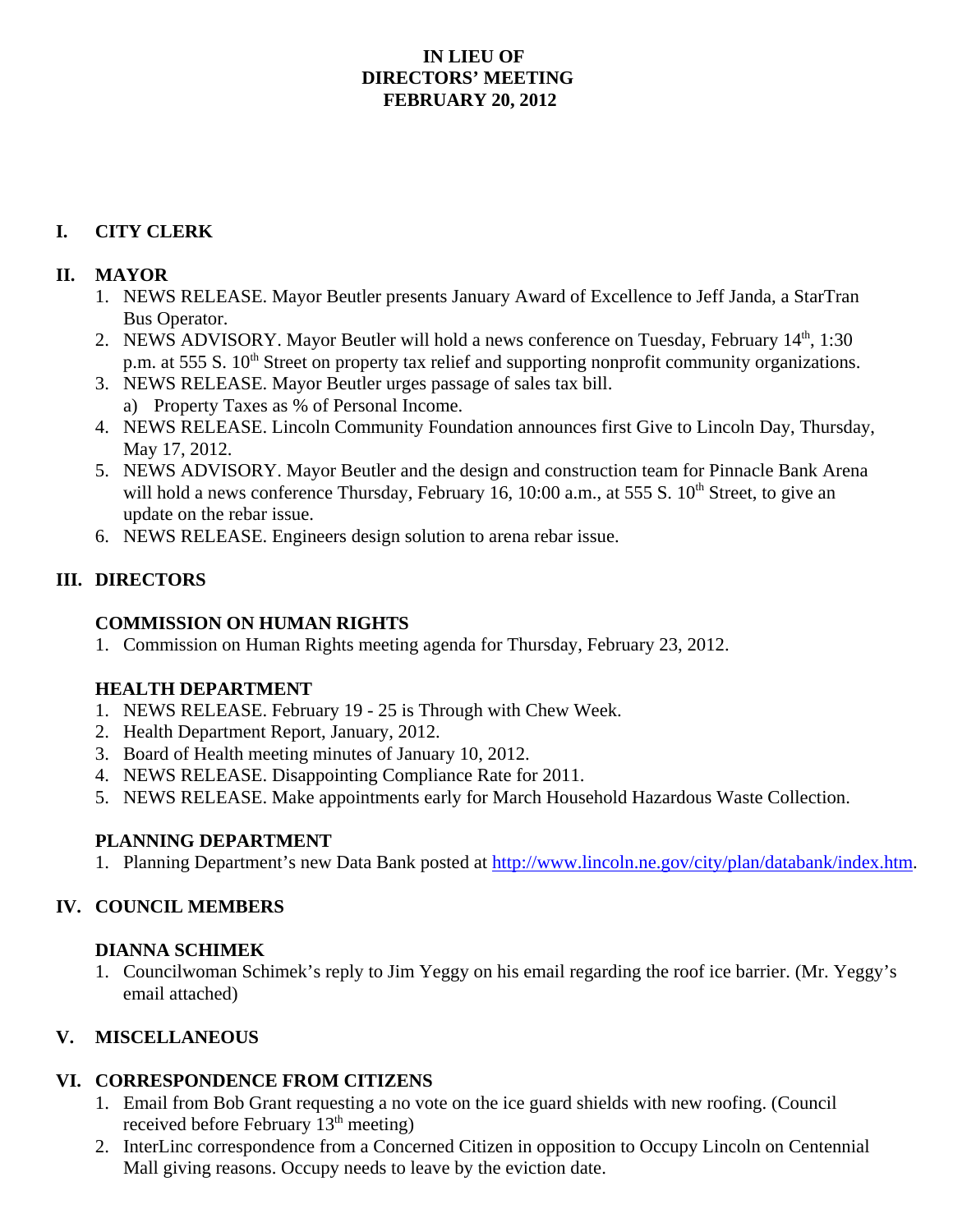#### **IN LIEU OF DIRECTORS' MEETING FEBRUARY 20, 2012**

# **I. CITY CLERK**

#### **II. MAYOR**

- 1. NEWS RELEASE. Mayor Beutler presents January Award of Excellence to Jeff Janda, a StarTran Bus Operator.
- 2. NEWS ADVISORY. Mayor Beutler will hold a news conference on Tuesday, February 14<sup>th</sup>, 1:30 p.m. at 555 S. 10<sup>th</sup> Street on property tax relief and supporting nonprofit community organizations.
- 3. NEWS RELEASE. Mayor Beutler urges passage of sales tax bill. a) Property Taxes as % of Personal Income.
- 4. NEWS RELEASE. Lincoln Community Foundation announces first Give to Lincoln Day, Thursday, May 17, 2012.
- 5. NEWS ADVISORY. Mayor Beutler and the design and construction team for Pinnacle Bank Arena will hold a news conference Thursday, February 16, 10:00 a.m., at 555 S.  $10<sup>th</sup>$  Street, to give an update on the rebar issue.
- 6. NEWS RELEASE. Engineers design solution to arena rebar issue.

## **III. DIRECTORS**

## **COMMISSION ON HUMAN RIGHTS**

1. Commission on Human Rights meeting agenda for Thursday, February 23, 2012.

## **HEALTH DEPARTMENT**

- 1. NEWS RELEASE. February 19 25 is Through with Chew Week.
- 2. Health Department Report, January, 2012.
- 3. Board of Health meeting minutes of January 10, 2012.
- 4. NEWS RELEASE. Disappointing Compliance Rate for 2011.
- 5. NEWS RELEASE. Make appointments early for March Household Hazardous Waste Collection.

## **PLANNING DEPARTMENT**

1. Planning Department's new Data Bank posted at http://www.lincoln.ne.gov/city/plan/databank/index.htm.

## **IV. COUNCIL MEMBERS**

#### **DIANNA SCHIMEK**

1. Councilwoman Schimek's reply to Jim Yeggy on his email regarding the roof ice barrier. (Mr. Yeggy's email attached)

## **V. MISCELLANEOUS**

## **VI. CORRESPONDENCE FROM CITIZENS**

- 1. Email from Bob Grant requesting a no vote on the ice guard shields with new roofing. (Council received before February  $13<sup>th</sup>$  meeting)
- 2. InterLinc correspondence from a Concerned Citizen in opposition to Occupy Lincoln on Centennial Mall giving reasons. Occupy needs to leave by the eviction date.